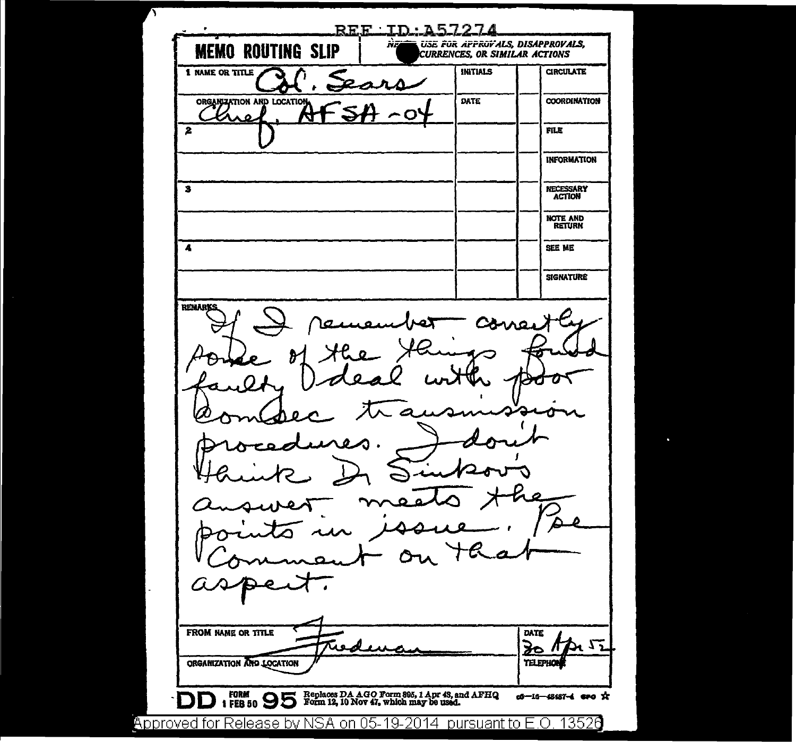<u> REF ID 257274</u> ÷ USE FOR APPROVALS, DISAPPROVALS, ÑB **MEMO ROUTING SLIP** CURRENCES, OR SIMILAR ACTIONS 1 NAME OR TITLE INITIALS **CIRCULATE** ORGANIZATION AND LOCATION **DATE COORDINATION** Μ  $\mathbf{z}$ FILE **INFORMATION**  $\overline{\mathbf{3}}$ NECESSARY **ACTION** NOTE AND<br>RETURN  $\overline{\mathbf{A}}$ SEE ME **SIGNATURE** REMARKS 7 FROM NAME OR TITLE **DATE**  $TMI<sub>2</sub>$ िट سد ORGANIZATION AND LOCATION **TELEPHO** FORM 1 FEB 50 5 Eephaces DA AGO Form 895, 1 Apr 43, and AFHQ 1 FEB 50 5 Form 12, 10 Nov 47, which may be used. of-16-48487-4 ero \*\* D  $\Box$ Approved for Release by NSA on 05-19-2014 pursuant to E.O. 13526